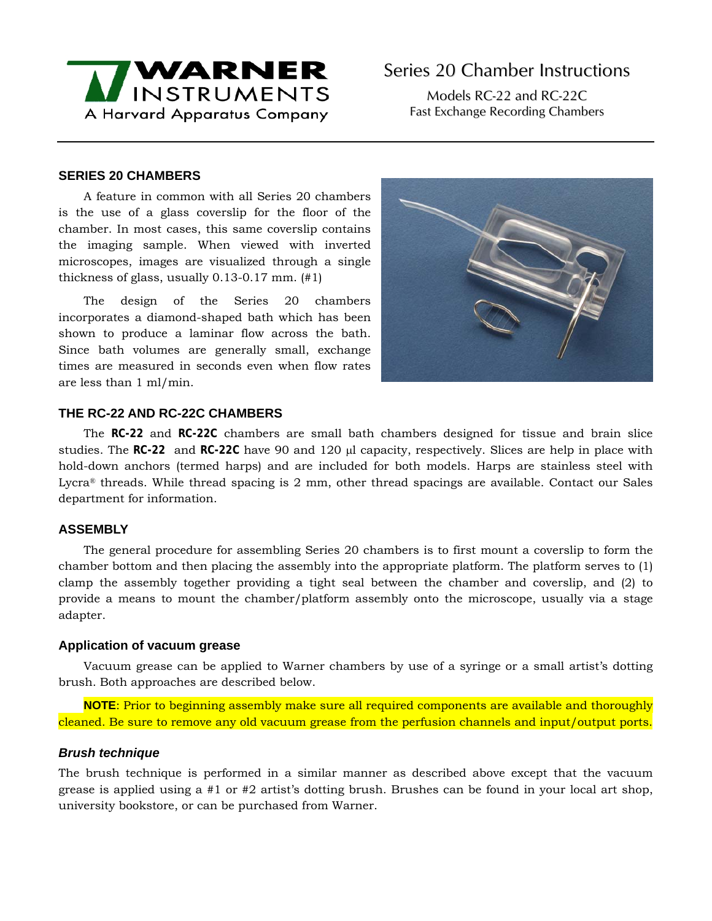

Models RC-22 and RC-22C Fast Exchange Recording Chambers

## **SERIES 20 CHAMBERS**

A feature in common with all Series 20 chambers is the use of a glass coverslip for the floor of the chamber. In most cases, this same coverslip contains the imaging sample. When viewed with inverted microscopes, images are visualized through a single thickness of glass, usually 0.13-0.17 mm. (#1)

The design of the Series 20 chambers incorporates a diamond-shaped bath which has been shown to produce a laminar flow across the bath. Since bath volumes are generally small, exchange times are measured in seconds even when flow rates are less than 1 ml/min.



# **THE RC-22 AND RC-22C CHAMBERS**

The **RC-22** and **RC-22C** chambers are small bath chambers designed for tissue and brain slice studies. The **RC-22** and **RC-22C** have 90 and 120 μl capacity, respectively. Slices are help in place with hold-down anchors (termed harps) and are included for both models. Harps are stainless steel with Lycra® threads. While thread spacing is 2 mm, other thread spacings are available. Contact our Sales department for information.

## **ASSEMBLY**

The general procedure for assembling Series 20 chambers is to first mount a coverslip to form the chamber bottom and then placing the assembly into the appropriate platform. The platform serves to (1) clamp the assembly together providing a tight seal between the chamber and coverslip, and (2) to provide a means to mount the chamber/platform assembly onto the microscope, usually via a stage adapter.

#### **Application of vacuum grease**

Vacuum grease can be applied to Warner chambers by use of a syringe or a small artist's dotting brush. Both approaches are described below.

**NOTE**: Prior to beginning assembly make sure all required components are available and thoroughly cleaned. Be sure to remove any old vacuum grease from the perfusion channels and input/output ports.

#### *Brush technique*

The brush technique is performed in a similar manner as described above except that the vacuum grease is applied using a #1 or #2 artist's dotting brush. Brushes can be found in your local art shop, university bookstore, or can be purchased from Warner.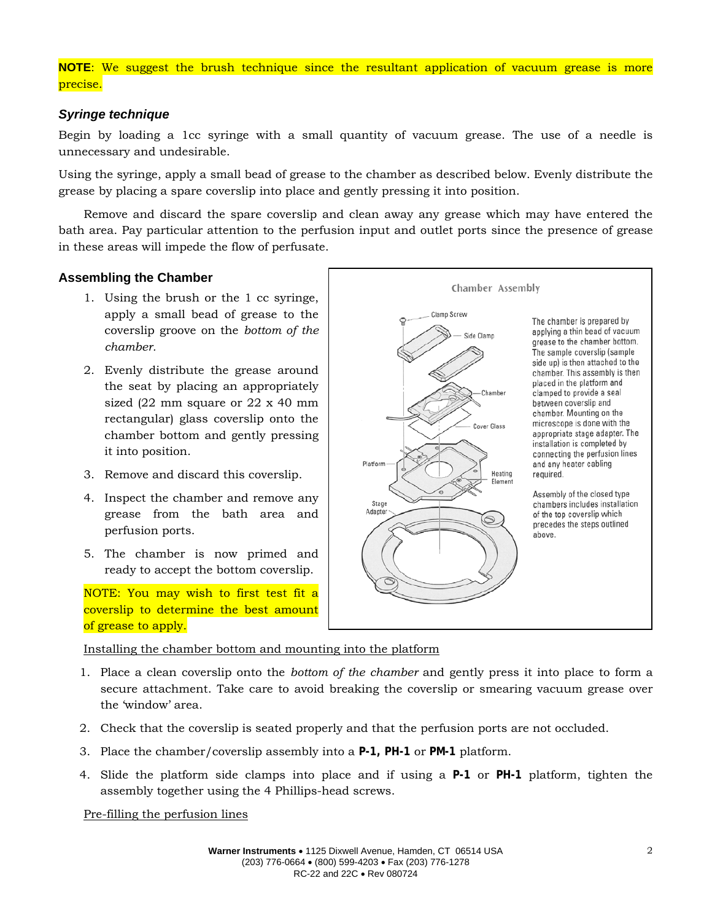# **NOTE**: We suggest the brush technique since the resultant application of vacuum grease is more precise.

## *Syringe technique*

Begin by loading a 1cc syringe with a small quantity of vacuum grease. The use of a needle is unnecessary and undesirable.

Using the syringe, apply a small bead of grease to the chamber as described below. Evenly distribute the grease by placing a spare coverslip into place and gently pressing it into position.

Remove and discard the spare coverslip and clean away any grease which may have entered the bath area. Pay particular attention to the perfusion input and outlet ports since the presence of grease in these areas will impede the flow of perfusate.

## **Assembling the Chamber**

- 1. Using the brush or the 1 cc syringe, apply a small bead of grease to the coverslip groove on the *bottom of the chamber.*
- 2. Evenly distribute the grease around the seat by placing an appropriately sized (22 mm square or 22 x 40 mm rectangular) glass coverslip onto the chamber bottom and gently pressing it into position.
- 3. Remove and discard this coverslip.
- 4. Inspect the chamber and remove any grease from the bath area and perfusion ports.
- 5. The chamber is now primed and ready to accept the bottom coverslip.

NOTE: You may wish to first test fit a coverslip to determine the best amount of grease to apply.

Chamber Assembly Clamp Screw The chamber is prepared by applying a thin bead of vacuum Side Clamp grease to the chamber bottom. The sample coverslip (sample side up) is then attached to the chamber. This assembly is then placed in the platform and Chamber clamped to provide a seal between coverslip and chamber. Mounting on the microscope is done with the Cover Glass appropriate stage adapter. The installation is completed by connecting the perfusion lines Platform and any heater cabling Heating required. Elemen Assembly of the closed type **Stage** chambers includes installation Adapter of the top coverslip which  $\circledcirc$ precedes the steps outlined above.

Installing the chamber bottom and mounting into the platform

- 1. Place a clean coverslip onto the *bottom of the chamber* and gently press it into place to form a secure attachment. Take care to avoid breaking the coverslip or smearing vacuum grease over the 'window' area.
- 2. Check that the coverslip is seated properly and that the perfusion ports are not occluded.
- 3. Place the chamber/coverslip assembly into a **P-1, PH-1** or **PM-1** platform.
- 4. Slide the platform side clamps into place and if using a **P-1** or **PH-1** platform, tighten the assembly together using the 4 Phillips-head screws.

Pre-filling the perfusion lines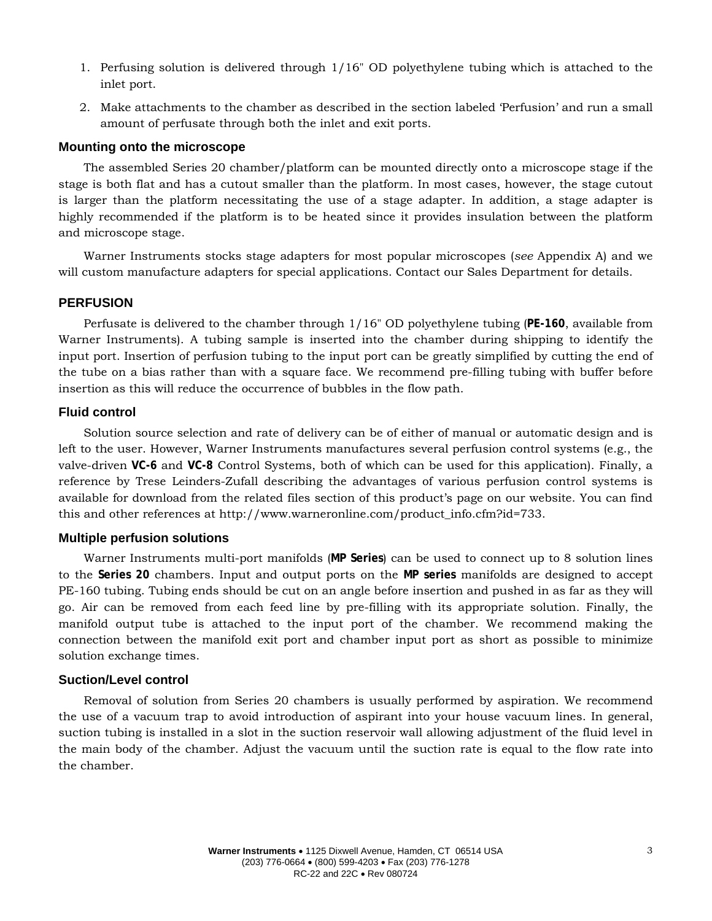- 1. Perfusing solution is delivered through 1/16" OD polyethylene tubing which is attached to the inlet port.
- 2. Make attachments to the chamber as described in the section labeled 'Perfusion' and run a small amount of perfusate through both the inlet and exit ports.

## **Mounting onto the microscope**

The assembled Series 20 chamber/platform can be mounted directly onto a microscope stage if the stage is both flat and has a cutout smaller than the platform. In most cases, however, the stage cutout is larger than the platform necessitating the use of a stage adapter. In addition, a stage adapter is highly recommended if the platform is to be heated since it provides insulation between the platform and microscope stage.

Warner Instruments stocks stage adapters for most popular microscopes (*see* Appendix A) and we will custom manufacture adapters for special applications. Contact our Sales Department for details.

## **PERFUSION**

Perfusate is delivered to the chamber through 1/16" OD polyethylene tubing (**PE-160**, available from Warner Instruments). A tubing sample is inserted into the chamber during shipping to identify the input port. Insertion of perfusion tubing to the input port can be greatly simplified by cutting the end of the tube on a bias rather than with a square face. We recommend pre-filling tubing with buffer before insertion as this will reduce the occurrence of bubbles in the flow path.

## **Fluid control**

Solution source selection and rate of delivery can be of either of manual or automatic design and is left to the user. However, Warner Instruments manufactures several perfusion control systems (e.g., the valve-driven **VC-6** and **VC-8** Control Systems, both of which can be used for this application). Finally, a reference by Trese Leinders-Zufall describing the advantages of various perfusion control systems is available for download from the related files section of this product's page on our website. You can find this and other references at http://www.warneronline.com/product\_info.cfm?id=733.

#### **Multiple perfusion solutions**

Warner Instruments multi-port manifolds (**MP Series**) can be used to connect up to 8 solution lines to the **Series 20** chambers. Input and output ports on the **MP series** manifolds are designed to accept PE-160 tubing. Tubing ends should be cut on an angle before insertion and pushed in as far as they will go. Air can be removed from each feed line by pre-filling with its appropriate solution. Finally, the manifold output tube is attached to the input port of the chamber. We recommend making the connection between the manifold exit port and chamber input port as short as possible to minimize solution exchange times.

#### **Suction/Level control**

Removal of solution from Series 20 chambers is usually performed by aspiration. We recommend the use of a vacuum trap to avoid introduction of aspirant into your house vacuum lines. In general, suction tubing is installed in a slot in the suction reservoir wall allowing adjustment of the fluid level in the main body of the chamber. Adjust the vacuum until the suction rate is equal to the flow rate into the chamber.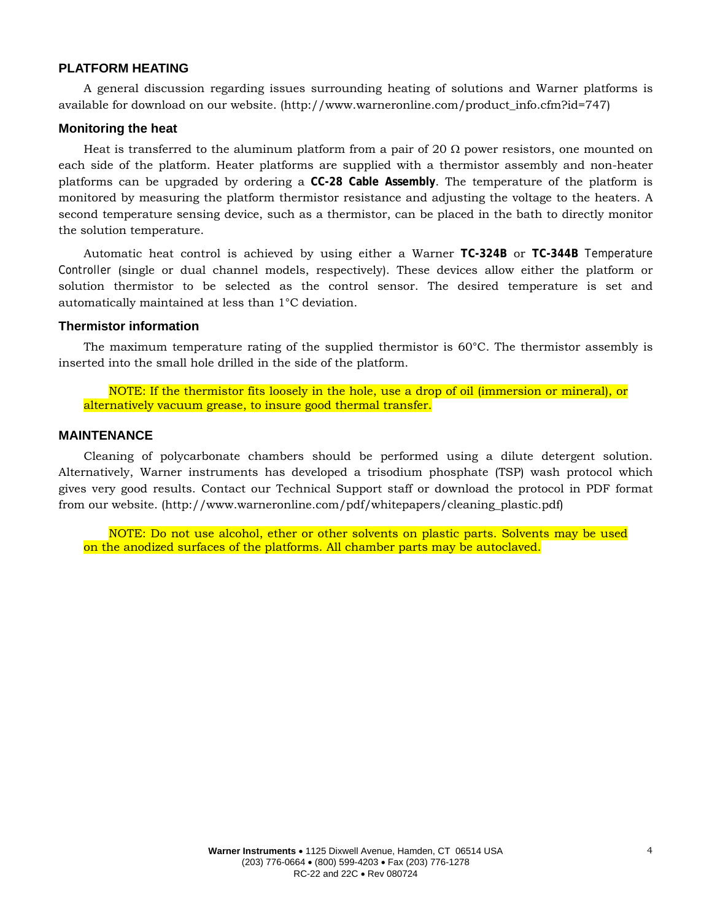## **PLATFORM HEATING**

A general discussion regarding issues surrounding heating of solutions and Warner platforms is available for download on our website. (http://www.warneronline.com/product\_info.cfm?id=747)

#### **Monitoring the heat**

Heat is transferred to the aluminum platform from a pair of 20  $\Omega$  power resistors, one mounted on each side of the platform. Heater platforms are supplied with a thermistor assembly and non-heater platforms can be upgraded by ordering a **CC-28 Cable Assembly**. The temperature of the platform is monitored by measuring the platform thermistor resistance and adjusting the voltage to the heaters. A second temperature sensing device, such as a thermistor, can be placed in the bath to directly monitor the solution temperature.

Automatic heat control is achieved by using either a Warner **TC-324B** or **TC-344B** Temperature Controller (single or dual channel models, respectively). These devices allow either the platform or solution thermistor to be selected as the control sensor. The desired temperature is set and automatically maintained at less than 1°C deviation.

#### **Thermistor information**

The maximum temperature rating of the supplied thermistor is 60°C. The thermistor assembly is inserted into the small hole drilled in the side of the platform.

NOTE: If the thermistor fits loosely in the hole, use a drop of oil (immersion or mineral), or alternatively vacuum grease, to insure good thermal transfer.

#### **MAINTENANCE**

Cleaning of polycarbonate chambers should be performed using a dilute detergent solution. Alternatively, Warner instruments has developed a trisodium phosphate (TSP) wash protocol which gives very good results. Contact our Technical Support staff or download the protocol in PDF format from our website. (http://www.warneronline.com/pdf/whitepapers/cleaning\_plastic.pdf)

NOTE: Do not use alcohol, ether or other solvents on plastic parts. Solvents may be used on the anodized surfaces of the platforms. All chamber parts may be autoclaved.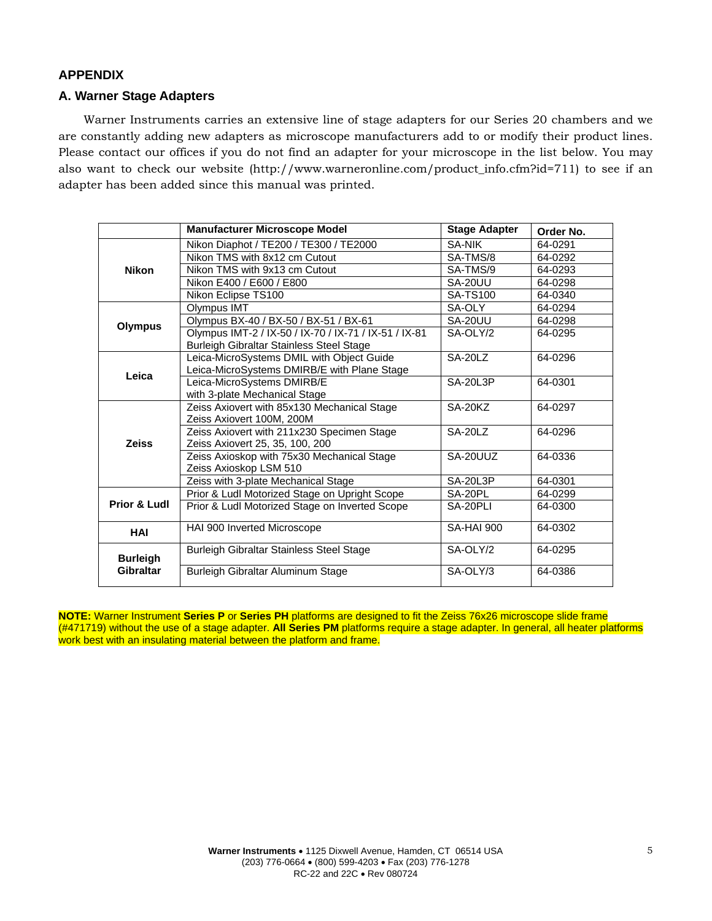## **APPENDIX**

## **A. Warner Stage Adapters**

Warner Instruments carries an extensive line of stage adapters for our Series 20 chambers and we are constantly adding new adapters as microscope manufacturers add to or modify their product lines. Please contact our offices if you do not find an adapter for your microscope in the list below. You may also want to check our website (http://www.warneronline.com/product\_info.cfm?id=711) to see if an adapter has been added since this manual was printed.

|                                         | <b>Manufacturer Microscope Model</b>                  | <b>Stage Adapter</b> | Order No. |
|-----------------------------------------|-------------------------------------------------------|----------------------|-----------|
| <b>Nikon</b>                            | Nikon Diaphot / TE200 / TE300 / TE2000                | <b>SA-NIK</b>        | 64-0291   |
|                                         | Nikon TMS with 8x12 cm Cutout                         | SA-TMS/8             | 64-0292   |
|                                         | Nikon TMS with 9x13 cm Cutout                         | SA-TMS/9             | 64-0293   |
|                                         | Nikon E400 / E600 / E800                              | SA-20UU              | 64-0298   |
|                                         | Nikon Eclipse TS100                                   | <b>SA-TS100</b>      | 64-0340   |
| <b>Olympus</b>                          | Olympus IMT                                           | SA-OLY               | 64-0294   |
|                                         | Olympus BX-40 / BX-50 / BX-51 / BX-61                 | SA-20UU              | 64-0298   |
|                                         | Olympus IMT-2 / IX-50 / IX-70 / IX-71 / IX-51 / IX-81 | SA-OLY/2             | 64-0295   |
|                                         | Burleigh Gibraltar Stainless Steel Stage              |                      |           |
| Leica                                   | Leica-MicroSystems DMIL with Object Guide             | SA-20LZ              | 64-0296   |
|                                         | Leica-MicroSystems DMIRB/E with Plane Stage           |                      |           |
|                                         | Leica-MicroSystems DMIRB/E                            | <b>SA-20L3P</b>      | 64-0301   |
|                                         | with 3-plate Mechanical Stage                         |                      |           |
| <b>Zeiss</b><br><b>Prior &amp; Ludl</b> | Zeiss Axiovert with 85x130 Mechanical Stage           | SA-20KZ              | 64-0297   |
|                                         | Zeiss Axiovert 100M, 200M                             |                      |           |
|                                         | Zeiss Axiovert with 211x230 Specimen Stage            | SA-2017              | 64-0296   |
|                                         | Zeiss Axiovert 25, 35, 100, 200                       |                      |           |
|                                         | Zeiss Axioskop with 75x30 Mechanical Stage            | SA-20UUZ             | 64-0336   |
|                                         | Zeiss Axioskop LSM 510                                |                      |           |
|                                         | Zeiss with 3-plate Mechanical Stage                   | SA-20L3P             | 64-0301   |
|                                         | Prior & Ludl Motorized Stage on Upright Scope         | SA-20PL              | 64-0299   |
|                                         | Prior & Ludl Motorized Stage on Inverted Scope        | SA-20PLI             | 64-0300   |
| HAI                                     | HAI 900 Inverted Microscope                           | <b>SA-HAI 900</b>    | 64-0302   |
| <b>Burleigh</b><br>Gibraltar            | Burleigh Gibraltar Stainless Steel Stage              | SA-OLY/2             | 64-0295   |
|                                         |                                                       |                      |           |
|                                         | Burleigh Gibraltar Aluminum Stage                     | SA-OLY/3             | 64-0386   |

**NOTE:** Warner Instrument **Series P** or **Series PH** platforms are designed to fit the Zeiss 76x26 microscope slide frame (#471719) without the use of a stage adapter. **All Series PM** platforms require a stage adapter. In general, all heater platforms work best with an insulating material between the platform and frame.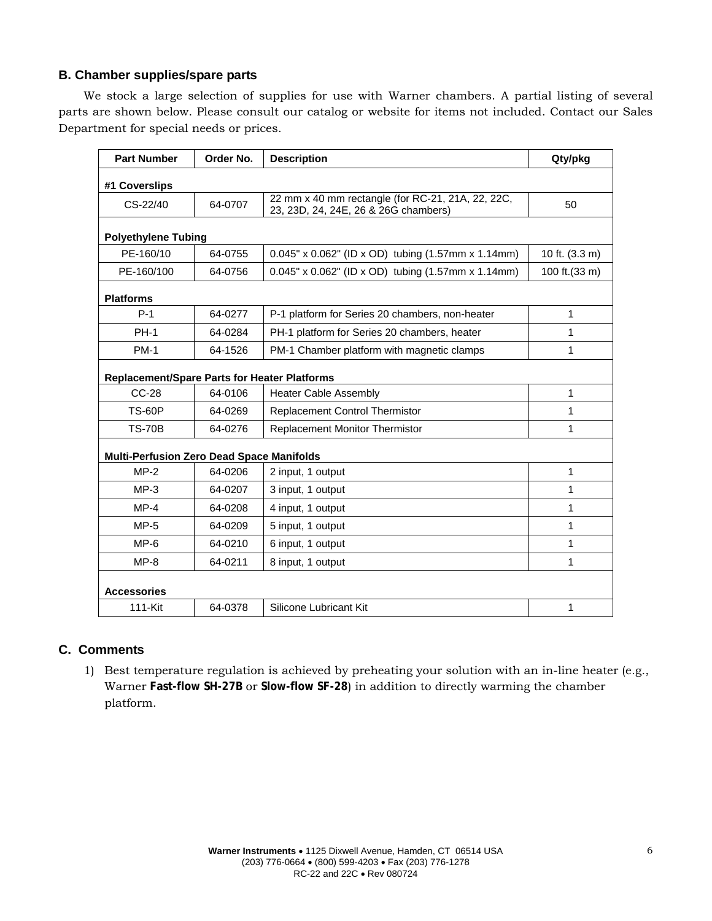# **B. Chamber supplies/spare parts**

We stock a large selection of supplies for use with Warner chambers. A partial listing of several parts are shown below. Please consult our catalog or website for items not included. Contact our Sales Department for special needs or prices.

| <b>Part Number</b>                                  | Order No. | <b>Description</b>                                                                        | Qty/pkg        |  |
|-----------------------------------------------------|-----------|-------------------------------------------------------------------------------------------|----------------|--|
| #1 Coverslips                                       |           |                                                                                           |                |  |
| CS-22/40                                            | 64-0707   | 22 mm x 40 mm rectangle (for RC-21, 21A, 22, 22C,<br>23, 23D, 24, 24E, 26 & 26G chambers) | 50             |  |
| <b>Polyethylene Tubing</b>                          |           |                                                                                           |                |  |
| PE-160/10                                           | 64-0755   | 0.045" x 0.062" (ID x OD) tubing (1.57mm x 1.14mm)                                        | 10 ft. (3.3 m) |  |
| PE-160/100                                          | 64-0756   | 0.045" x 0.062" (ID x OD) tubing (1.57mm x 1.14mm)                                        | 100 ft.(33 m)  |  |
| <b>Platforms</b>                                    |           |                                                                                           |                |  |
| $P-1$                                               | 64-0277   | P-1 platform for Series 20 chambers, non-heater                                           | 1              |  |
| <b>PH-1</b>                                         | 64-0284   | PH-1 platform for Series 20 chambers, heater                                              | 1              |  |
| <b>PM-1</b>                                         | 64-1526   | PM-1 Chamber platform with magnetic clamps                                                | 1              |  |
| <b>Replacement/Spare Parts for Heater Platforms</b> |           |                                                                                           |                |  |
| <b>CC-28</b>                                        | 64-0106   | <b>Heater Cable Assembly</b>                                                              | 1              |  |
| <b>TS-60P</b>                                       | 64-0269   | Replacement Control Thermistor                                                            | 1              |  |
| <b>TS-70B</b>                                       | 64-0276   | <b>Replacement Monitor Thermistor</b>                                                     | 1              |  |
| <b>Multi-Perfusion Zero Dead Space Manifolds</b>    |           |                                                                                           |                |  |
| $MP-2$                                              | 64-0206   | 2 input, 1 output                                                                         | 1              |  |
| $MP-3$                                              | 64-0207   | 3 input, 1 output                                                                         | 1              |  |
| $MP-4$                                              | 64-0208   | 4 input, 1 output                                                                         | 1              |  |
| $MP-5$                                              | 64-0209   | 5 input, 1 output                                                                         | 1              |  |
| $MP-6$                                              | 64-0210   | 6 input, 1 output                                                                         | 1              |  |
| $MP-8$                                              | 64-0211   | 8 input, 1 output                                                                         | 1              |  |
| <b>Accessories</b>                                  |           |                                                                                           |                |  |
| 111-Kit                                             | 64-0378   | Silicone Lubricant Kit                                                                    | 1              |  |

# **C. Comments**

1) Best temperature regulation is achieved by preheating your solution with an in-line heater (e.g., Warner **Fast-flow SH-27B** or **Slow-flow SF-28**) in addition to directly warming the chamber platform.